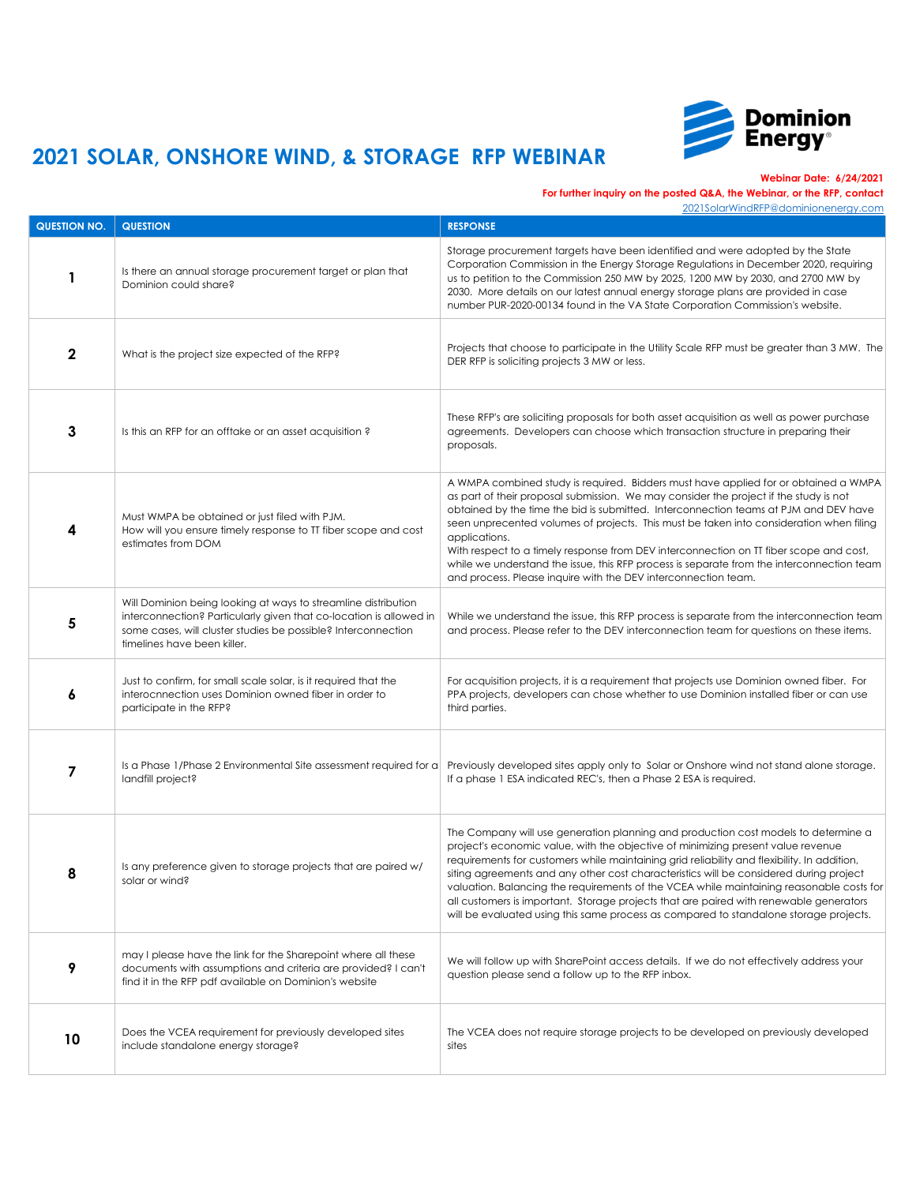

**Webinar Date: 6/24/2021**

### **For further inquiry on the posted Q&A, the Webinar, or the RFP, contact**

| <b>QUESTION NO.</b> | <b>QUESTION</b>                                                                                                                                                                                                                      | <b>RESPONSE</b>                                                                                                                                                                                                                                                                                                                                                                                                                                                                                                                                                                                                                                |
|---------------------|--------------------------------------------------------------------------------------------------------------------------------------------------------------------------------------------------------------------------------------|------------------------------------------------------------------------------------------------------------------------------------------------------------------------------------------------------------------------------------------------------------------------------------------------------------------------------------------------------------------------------------------------------------------------------------------------------------------------------------------------------------------------------------------------------------------------------------------------------------------------------------------------|
|                     | Is there an annual storage procurement target or plan that<br>Dominion could share?                                                                                                                                                  | Storage procurement targets have been identified and were adopted by the State<br>Corporation Commission in the Energy Storage Regulations in December 2020, requiring<br>us to petition to the Commission 250 MW by 2025, 1200 MW by 2030, and 2700 MW by<br>2030. More details on our latest annual energy storage plans are provided in case<br>number PUR-2020-00134 found in the VA State Corporation Commission's website.                                                                                                                                                                                                               |
|                     | What is the project size expected of the RFP?                                                                                                                                                                                        | Projects that choose to participate in the Utility Scale RFP must be greater than 3 MW. The<br>DER RFP is soliciting projects 3 MW or less.                                                                                                                                                                                                                                                                                                                                                                                                                                                                                                    |
| $\mathbf{3}$        | Is this an RFP for an offtake or an asset acquisition?                                                                                                                                                                               | These RFP's are soliciting proposals for both asset acquisition as well as power purchase<br>agreements. Developers can choose which transaction structure in preparing their<br>proposals.                                                                                                                                                                                                                                                                                                                                                                                                                                                    |
|                     | Must WMPA be obtained or just filed with PJM.<br>How will you ensure timely response to TT fiber scope and cost<br>estimates from DOM                                                                                                | A WMPA combined study is required. Bidders must have applied for or obtained a WMPA<br>as part of their proposal submission. We may consider the project if the study is not<br>obtained by the time the bid is submitted. Interconnection teams at PJM and DEV have<br>seen unprecented volumes of projects. This must be taken into consideration when filing<br>applications.<br>With respect to a timely response from DEV interconnection on TT fiber scope and cost,<br>while we understand the issue, this RFP process is separate from the interconnection team<br>and process. Please inquire with the DEV interconnection team.      |
| 5                   | Will Dominion being looking at ways to streamline distribution<br>interconnection? Particularly given that co-location is allowed in<br>some cases, will cluster studies be possible? Interconnection<br>timelines have been killer. | While we understand the issue, this RFP process is separate from the interconnection team<br>and process. Please refer to the DEV interconnection team for questions on these items.                                                                                                                                                                                                                                                                                                                                                                                                                                                           |
| O                   | Just to confirm, for small scale solar, is it required that the<br>interocnnection uses Dominion owned fiber in order to<br>participate in the RFP?                                                                                  | For acquisition projects, it is a requirement that projects use Dominion owned fiber. For<br>PPA projects, developers can chose whether to use Dominion installed fiber or can use<br>third parties.                                                                                                                                                                                                                                                                                                                                                                                                                                           |
|                     | Is a Phase 1/Phase 2 Environmental Site assessment required for a<br>landfill project?                                                                                                                                               | Previously developed sites apply only to Solar or Onshore wind not stand alone storage.<br>If a phase 1 ESA indicated REC's, then a Phase 2 ESA is required.                                                                                                                                                                                                                                                                                                                                                                                                                                                                                   |
| 8                   | Is any preference given to storage projects that are paired w/<br>solar or wind?                                                                                                                                                     | The Company will use generation planning and production cost models to determine a<br>project's economic value, with the objective of minimizing present value revenue<br>requirements for customers while maintaining grid reliability and flexibility. In addition,<br>siting agreements and any other cost characteristics will be considered during project<br>valuation. Balancing the requirements of the VCEA while maintaining reasonable costs for<br>all customers is important. Storage projects that are paired with renewable generators<br>will be evaluated using this same process as compared to standalone storage projects. |
| 9                   | may I please have the link for the Sharepoint where all these<br>documents with assumptions and criteria are provided? I can't<br>find it in the RFP pdf available on Dominion's website                                             | We will follow up with SharePoint access details. If we do not effectively address your<br>question please send a follow up to the RFP inbox.                                                                                                                                                                                                                                                                                                                                                                                                                                                                                                  |
| 10                  | Does the VCEA requirement for previously developed sites<br>include standalone energy storage?                                                                                                                                       | The VCEA does not require storage projects to be developed on previously developed<br>sites                                                                                                                                                                                                                                                                                                                                                                                                                                                                                                                                                    |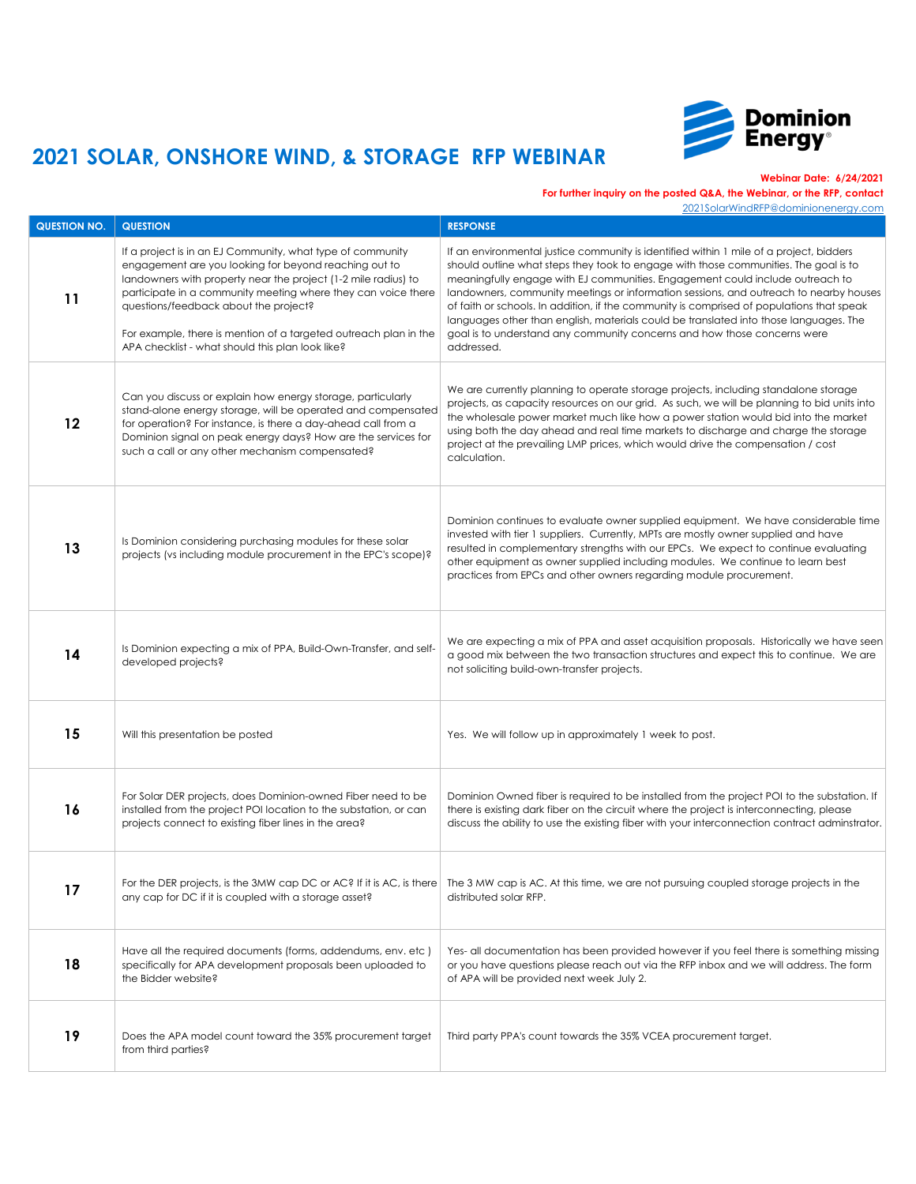

**Webinar Date: 6/24/2021**

### **For further inquiry on the posted Q&A, the Webinar, or the RFP, contact**

| <b>QUESTION NO.</b> | <b>QUESTION</b>                                                                                                                                                                                                                                                                                                                                                                                                         | <b>RESPONSE</b>                                                                                                                                                                                                                                                                                                                                                                                                                                                                                                                                                                                                                           |
|---------------------|-------------------------------------------------------------------------------------------------------------------------------------------------------------------------------------------------------------------------------------------------------------------------------------------------------------------------------------------------------------------------------------------------------------------------|-------------------------------------------------------------------------------------------------------------------------------------------------------------------------------------------------------------------------------------------------------------------------------------------------------------------------------------------------------------------------------------------------------------------------------------------------------------------------------------------------------------------------------------------------------------------------------------------------------------------------------------------|
| 11                  | If a project is in an EJ Community, what type of community<br>engagement are you looking for beyond reaching out to<br>landowners with property near the project (1-2 mile radius) to<br>participate in a community meeting where they can voice there<br>questions/feedback about the project?<br>For example, there is mention of a targeted outreach plan in the<br>APA checklist - what should this plan look like? | If an environmental justice community is identified within 1 mile of a project, bidders<br>should outline what steps they took to engage with those communities. The goal is to<br>meaningfully engage with EJ communities. Engagement could include outreach to<br>landowners, community meetings or information sessions, and outreach to nearby houses<br>of faith or schools. In addition, if the community is comprised of populations that speak<br>languages other than english, materials could be translated into those languages. The<br>goal is to understand any community concerns and how those concerns were<br>addressed. |
| 12                  | Can you discuss or explain how energy storage, particularly<br>stand-alone energy storage, will be operated and compensated<br>for operation? For instance, is there a day-ahead call from a<br>Dominion signal on peak energy days? How are the services for<br>such a call or any other mechanism compensated?                                                                                                        | We are currently planning to operate storage projects, including standalone storage<br>projects, as capacity resources on our grid. As such, we will be planning to bid units into<br>the wholesale power market much like how a power station would bid into the market<br>using both the day ahead and real time markets to discharge and charge the storage<br>project at the prevailing LMP prices, which would drive the compensation / cost<br>calculation.                                                                                                                                                                         |
| 13                  | Is Dominion considering purchasing modules for these solar<br>projects (vs including module procurement in the EPC's scope)?                                                                                                                                                                                                                                                                                            | Dominion continues to evaluate owner supplied equipment. We have considerable time<br>invested with tier 1 suppliers. Currently, MPTs are mostly owner supplied and have<br>resulted in complementary strengths with our EPCs. We expect to continue evaluating<br>other equipment as owner supplied including modules. We continue to learn best<br>practices from EPCs and other owners regarding module procurement.                                                                                                                                                                                                                   |
| 14                  | Is Dominion expecting a mix of PPA, Build-Own-Transfer, and self-<br>developed projects?                                                                                                                                                                                                                                                                                                                                | We are expecting a mix of PPA and asset acquisition proposals. Historically we have seen<br>a good mix between the two transaction structures and expect this to continue. We are<br>not soliciting build-own-transfer projects.                                                                                                                                                                                                                                                                                                                                                                                                          |
| 15                  | Will this presentation be posted                                                                                                                                                                                                                                                                                                                                                                                        | Yes. We will follow up in approximately 1 week to post.                                                                                                                                                                                                                                                                                                                                                                                                                                                                                                                                                                                   |
| 16                  | For Solar DER projects, does Dominion-owned Fiber need to be<br>installed from the project POI location to the substation, or can<br>projects connect to existing fiber lines in the area?                                                                                                                                                                                                                              | Dominion Owned fiber is required to be installed from the project POI to the substation. If<br>there is existing dark fiber on the circuit where the project is interconnecting, please<br>discuss the ability to use the existing fiber with your interconnection contract adminstrator.                                                                                                                                                                                                                                                                                                                                                 |
| 17                  | For the DER projects, is the 3MW cap DC or AC? If it is AC, is there<br>any cap for DC if it is coupled with a storage asset?                                                                                                                                                                                                                                                                                           | The 3 MW cap is AC. At this time, we are not pursuing coupled storage projects in the<br>distributed solar RFP.                                                                                                                                                                                                                                                                                                                                                                                                                                                                                                                           |
| 18                  | Have all the required documents (forms, addendums, env. etc)<br>specifically for APA development proposals been uploaded to<br>the Bidder website?                                                                                                                                                                                                                                                                      | Yes- all documentation has been provided however if you feel there is something missing<br>or you have questions please reach out via the RFP inbox and we will address. The form<br>of APA will be provided next week July 2.                                                                                                                                                                                                                                                                                                                                                                                                            |
| 19                  | Does the APA model count toward the 35% procurement target<br>from third parties?                                                                                                                                                                                                                                                                                                                                       | Third party PPA's count towards the 35% VCEA procurement target.                                                                                                                                                                                                                                                                                                                                                                                                                                                                                                                                                                          |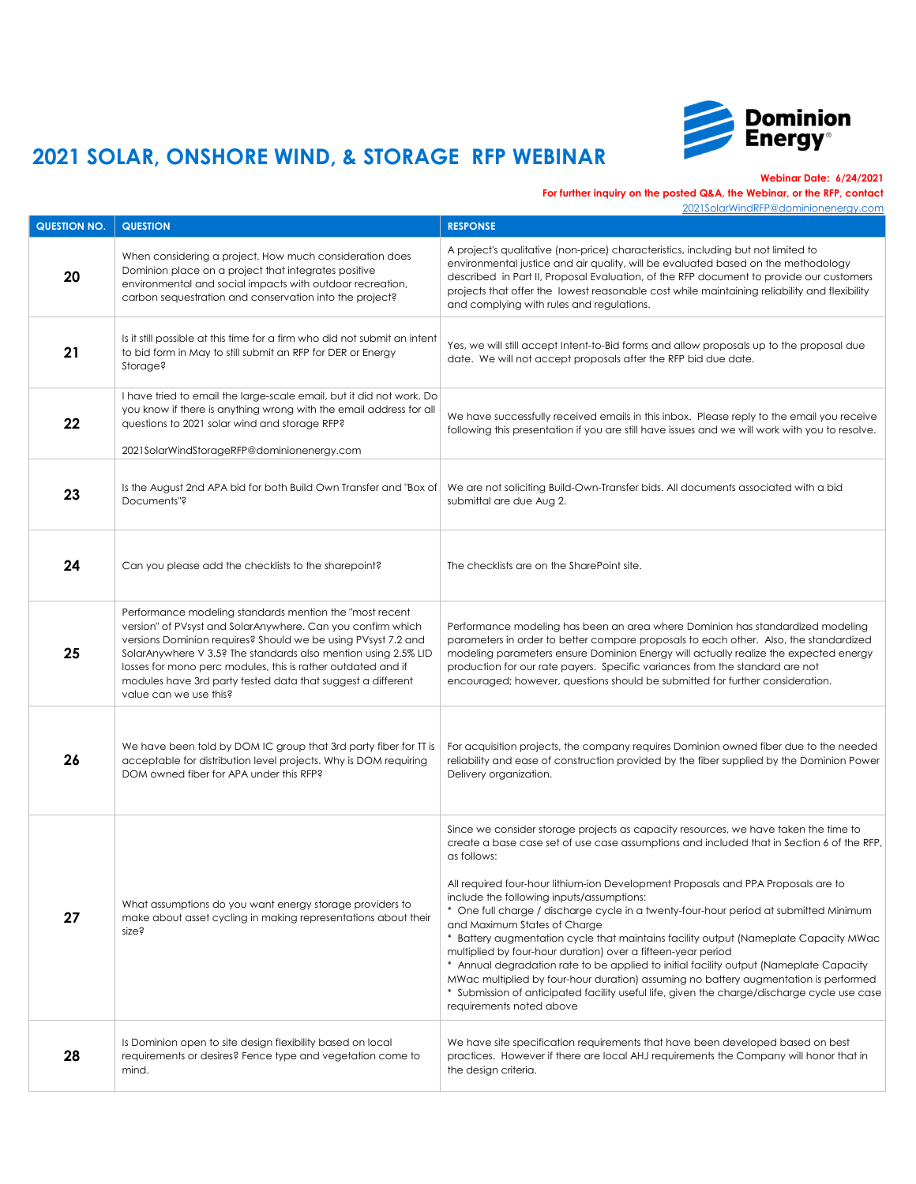

**Webinar Date: 6/24/2021**

### **For further inquiry on the posted Q&A, the Webinar, or the RFP, contact**

| <b>QUESTION NO.</b> | <b>QUESTION</b>                                                                                                                                                                                                                                                                                                                                                                                                     | <b>RESPONSE</b>                                                                                                                                                                                                                                                                                                                                                                                                                                                                                                                                                                                                                                                                                                                                                                                                                                                                                                           |
|---------------------|---------------------------------------------------------------------------------------------------------------------------------------------------------------------------------------------------------------------------------------------------------------------------------------------------------------------------------------------------------------------------------------------------------------------|---------------------------------------------------------------------------------------------------------------------------------------------------------------------------------------------------------------------------------------------------------------------------------------------------------------------------------------------------------------------------------------------------------------------------------------------------------------------------------------------------------------------------------------------------------------------------------------------------------------------------------------------------------------------------------------------------------------------------------------------------------------------------------------------------------------------------------------------------------------------------------------------------------------------------|
| 20                  | When considering a project. How much consideration does<br>Dominion place on a project that integrates positive<br>environmental and social impacts with outdoor recreation,<br>carbon sequestration and conservation into the project?                                                                                                                                                                             | A project's qualitative (non-price) characteristics, including but not limited to<br>environmental justice and air quality, will be evaluated based on the methodology<br>described in Part II, Proposal Evaluation, of the RFP document to provide our customers<br>projects that offer the lowest reasonable cost while maintaining reliability and flexibility<br>and complying with rules and regulations.                                                                                                                                                                                                                                                                                                                                                                                                                                                                                                            |
| <b>21</b>           | Is it still possible at this time for a firm who did not submit an intent<br>to bid form in May to still submit an RFP for DER or Energy<br>Storage?                                                                                                                                                                                                                                                                | Yes, we will still accept Intent-to-Bid forms and allow proposals up to the proposal due<br>date. We will not accept proposals after the RFP bid due date.                                                                                                                                                                                                                                                                                                                                                                                                                                                                                                                                                                                                                                                                                                                                                                |
| 22                  | I have tried to email the large-scale email, but it did not work. Do<br>you know if there is anything wrong with the email address for all<br>questions to 2021 solar wind and storage RFP?<br>2021SolarWindStorageRFP@dominionenergy.com                                                                                                                                                                           | We have successfully received emails in this inbox. Please reply to the email you receive<br>following this presentation if you are still have issues and we will work with you to resolve.                                                                                                                                                                                                                                                                                                                                                                                                                                                                                                                                                                                                                                                                                                                               |
| 23                  | Is the August 2nd APA bid for both Build Own Transfer and "Box of<br>Documents"?                                                                                                                                                                                                                                                                                                                                    | We are not soliciting Build-Own-Transfer bids. All documents associated with a bid<br>submittal are due Aug 2.                                                                                                                                                                                                                                                                                                                                                                                                                                                                                                                                                                                                                                                                                                                                                                                                            |
| 24                  | Can you please add the checklists to the sharepoint?                                                                                                                                                                                                                                                                                                                                                                | The checklists are on the SharePoint site.                                                                                                                                                                                                                                                                                                                                                                                                                                                                                                                                                                                                                                                                                                                                                                                                                                                                                |
| 25                  | Performance modeling standards mention the "most recent"<br>version" of PVsyst and SolarAnywhere. Can you confirm which<br>versions Dominion requires? Should we be using PVsyst 7.2 and<br>SolarAnywhere V 3.5? The standards also mention using 2.5% LID<br>losses for mono perc modules, this is rather outdated and if<br>modules have 3rd party tested data that suggest a different<br>value can we use this? | Performance modeling has been an area where Dominion has standardized modeling<br>parameters in order to better compare proposals to each other. Also, the standardized<br>modeling parameters ensure Dominion Energy will actually realize the expected energy<br>production for our rate payers. Specific variances from the standard are not<br>encouraged; however, questions should be submitted for further consideration.                                                                                                                                                                                                                                                                                                                                                                                                                                                                                          |
| 26                  | We have been told by DOM IC group that 3rd party fiber for TT is<br>acceptable for distribution level projects. Why is DOM requiring<br>DOM owned fiber for APA under this RFP?                                                                                                                                                                                                                                     | For acquisition projects, the company requires Dominion owned fiber due to the needed<br>reliability and ease of construction provided by the fiber supplied by the Dominion Power<br>Delivery organization.                                                                                                                                                                                                                                                                                                                                                                                                                                                                                                                                                                                                                                                                                                              |
| 27                  | What assumptions do you want energy storage providers to<br>make about asset cycling in making representations about their<br>size?                                                                                                                                                                                                                                                                                 | Since we consider storage projects as capacity resources, we have taken the time to<br>create a base case set of use case assumptions and included that in Section 6 of the RFP,<br>as follows:<br>All required four-hour lithium-ion Development Proposals and PPA Proposals are to<br>include the following inputs/assumptions:<br>One full charge / discharge cycle in a twenty-four-hour period at submitted Minimum<br>and Maximum States of Charge<br>Battery augmentation cycle that maintains facility output (Nameplate Capacity MWac<br>multiplied by four-hour duration) over a fifteen-year period<br>* Annual degradation rate to be applied to initial facility output (Nameplate Capacity<br>MWac multiplied by four-hour duration) assuming no battery augmentation is performed<br>Submission of anticipated facility useful life, given the charge/discharge cycle use case<br>requirements noted above |
| 28                  | Is Dominion open to site design flexibility based on local<br>requirements or desires? Fence type and vegetation come to<br>mind.                                                                                                                                                                                                                                                                                   | We have site specification requirements that have been developed based on best<br>practices. However if there are local AHJ requirements the Company will honor that in<br>the design criteria.                                                                                                                                                                                                                                                                                                                                                                                                                                                                                                                                                                                                                                                                                                                           |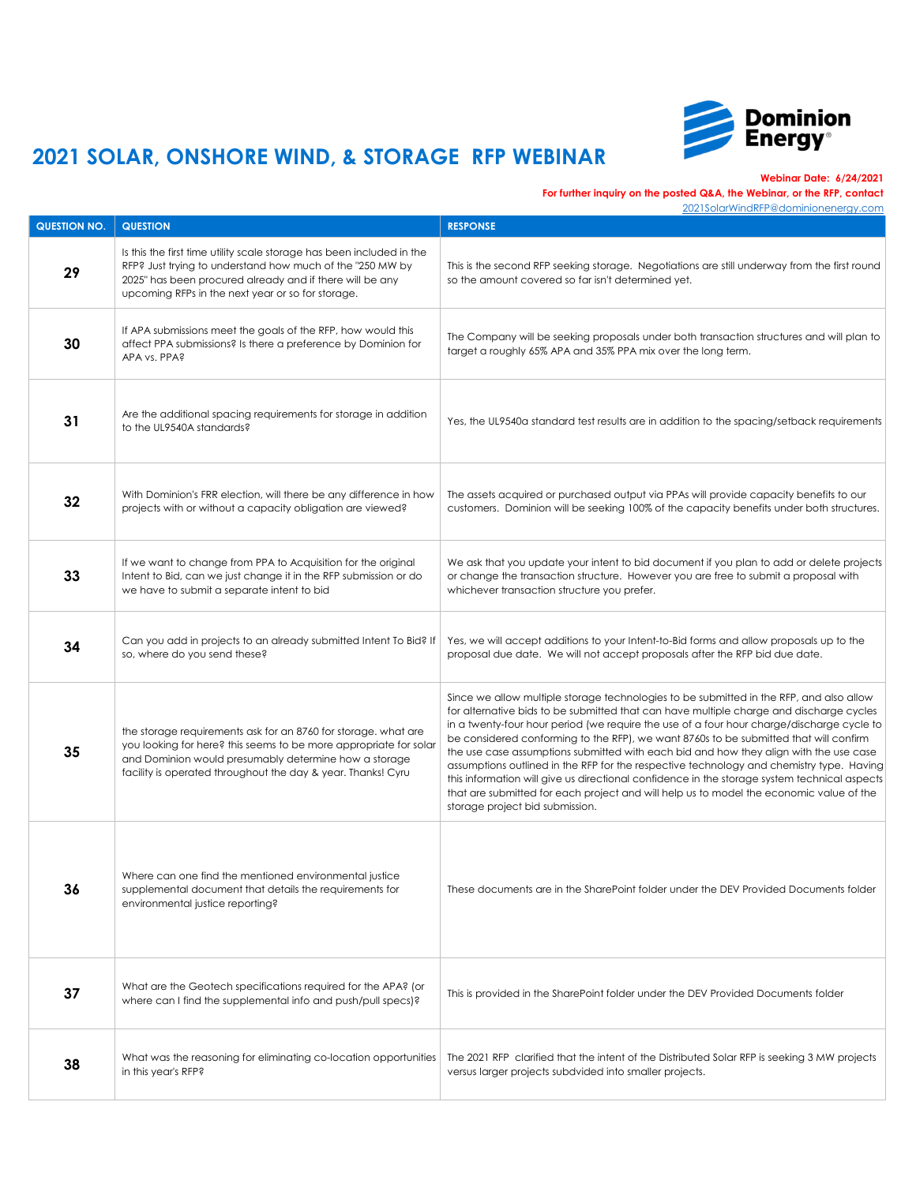

**Webinar Date: 6/24/2021**

### **For further inquiry on the posted Q&A, the Webinar, or the RFP, contact**

| <b>QUESTION NO.</b> | <b>QUESTION</b>                                                                                                                                                                                                                                              | <b>RESPONSE</b>                                                                                                                                                                                                                                                                                                                                                                                                                                                                                                                                                                                                                                                                                                                                                                             |
|---------------------|--------------------------------------------------------------------------------------------------------------------------------------------------------------------------------------------------------------------------------------------------------------|---------------------------------------------------------------------------------------------------------------------------------------------------------------------------------------------------------------------------------------------------------------------------------------------------------------------------------------------------------------------------------------------------------------------------------------------------------------------------------------------------------------------------------------------------------------------------------------------------------------------------------------------------------------------------------------------------------------------------------------------------------------------------------------------|
| 29                  | Is this the first time utility scale storage has been included in the<br>RFP? Just trying to understand how much of the "250 MW by<br>2025" has been procured already and if there will be any<br>upcoming RFPs in the next year or so for storage.          | This is the second RFP seeking storage. Negotiations are still underway from the first round<br>so the amount covered so far isn't determined yet.                                                                                                                                                                                                                                                                                                                                                                                                                                                                                                                                                                                                                                          |
| 30                  | If APA submissions meet the goals of the RFP, how would this<br>affect PPA submissions? Is there a preference by Dominion for<br>APA vs. PPA?                                                                                                                | The Company will be seeking proposals under both transaction structures and will plan to<br>target a roughly 65% APA and 35% PPA mix over the long term.                                                                                                                                                                                                                                                                                                                                                                                                                                                                                                                                                                                                                                    |
| 31                  | Are the additional spacing requirements for storage in addition<br>to the UL9540A standards?                                                                                                                                                                 | Yes, the UL9540a standard test results are in addition to the spacing/setback requirements                                                                                                                                                                                                                                                                                                                                                                                                                                                                                                                                                                                                                                                                                                  |
| 32                  | With Dominion's FRR election, will there be any difference in how<br>projects with or without a capacity obligation are viewed?                                                                                                                              | The assets acquired or purchased output via PPAs will provide capacity benefits to our<br>customers. Dominion will be seeking 100% of the capacity benefits under both structures.                                                                                                                                                                                                                                                                                                                                                                                                                                                                                                                                                                                                          |
| 33                  | If we want to change from PPA to Acquisition for the original<br>Intent to Bid, can we just change it in the RFP submission or do<br>we have to submit a separate intent to bid                                                                              | We ask that you update your intent to bid document if you plan to add or delete projects<br>or change the transaction structure. However you are free to submit a proposal with<br>whichever transaction structure you prefer.                                                                                                                                                                                                                                                                                                                                                                                                                                                                                                                                                              |
| 34                  | Can you add in projects to an already submitted Intent To Bid? If<br>so, where do you send these?                                                                                                                                                            | Yes, we will accept additions to your Intent-to-Bid forms and allow proposals up to the<br>proposal due date. We will not accept proposals after the RFP bid due date.                                                                                                                                                                                                                                                                                                                                                                                                                                                                                                                                                                                                                      |
| 35                  | the storage requirements ask for an 8760 for storage, what are<br>you looking for here? this seems to be more appropriate for solar<br>and Dominion would presumably determine how a storage<br>facility is operated throughout the day & year. Thanks! Cyru | Since we allow multiple storage technologies to be submitted in the RFP, and also allow<br>for alternative bids to be submitted that can have multiple charge and discharge cycles<br>in a twenty-four hour period (we require the use of a four hour charge/discharge cycle to<br>be considered conforming to the RFP), we want 8760s to be submitted that will confirm<br>the use case assumptions submitted with each bid and how they align with the use case<br>assumptions outlined in the RFP for the respective technology and chemistry type. Having<br>this information will give us directional confidence in the storage system technical aspects<br>that are submitted for each project and will help us to model the economic value of the<br>storage project bid submission. |
| 36                  | Where can one find the mentioned environmental justice<br>supplemental document that details the requirements for<br>environmental justice reporting?                                                                                                        | These documents are in the SharePoint folder under the DEV Provided Documents folder                                                                                                                                                                                                                                                                                                                                                                                                                                                                                                                                                                                                                                                                                                        |
| 37                  | What are the Geotech specifications required for the APA? (or<br>where can I find the supplemental info and push/pull specs)?                                                                                                                                | This is provided in the SharePoint folder under the DEV Provided Documents folder                                                                                                                                                                                                                                                                                                                                                                                                                                                                                                                                                                                                                                                                                                           |
| 38                  | What was the reasoning for eliminating co-location opportunities<br>in this year's RFP?                                                                                                                                                                      | The 2021 RFP clarified that the intent of the Distributed Solar RFP is seeking 3 MW projects<br>versus larger projects subdvided into smaller projects.                                                                                                                                                                                                                                                                                                                                                                                                                                                                                                                                                                                                                                     |